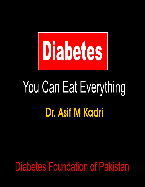

# You Can Eat Everything **Dr. Asif M Kadri**

## Diabetes Foundation of Pakistan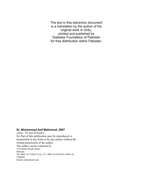The text in this electronic document is a translation by the author of his original work in Urdu, printed and published by Diabetes Foundation of Pakistan for free distribution within Pakistan**.**

#### **Dr. Muhammad Asif Mahmood, 2007**

*(Alias: Dr.Asif M Kadri)* No Part of this publication may be reproduced or transmitted in any form or by any means without the written permission of the author The author can be contacted at 15/6 Mohni Road Lahore Pakistan Tel: 0092 -42-5160112 Ext: 317, 0092-42-8478558, 0092-42- 7248449 Email: asif@drasif.com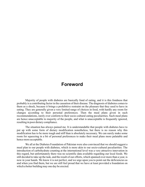## **Foreword**

Majority of people with diabetes are basically fond of eating, and it is this fondness that probably is a contributing factor in the causation of their disease. The diagnosis of diabetes comes to them as a shock, because it brings a prohibitive restraint on the pleasure that they used to have in eating. They are generally given a very limited range of choices in food, with hardly any room for changes according to their personal preferences. Then the meal plans given in such recommendations, rarely ever conform to their socio-cultural eating peculiarities. Such meal plans are hence unacceptable to majority of the people, and what is unacceptable is frequently ignored, resulting in poor dietary compliance.

The situation has always pained me. It is understandable that people with diabetes have to put up with some form of dietary modification nonetheless, but there is no reason why this modification has to be more tough and stiff than is absolutely necessary. We can surely make some room for squeezing in a bit of personal preferences to make their meal plans more palatable and hence more acceptable.

We all at the Diabetes Foundation of Pakistan were also convinced that we should suggest a meal plan to our people with diabetes, which is more akin to our socio-cultural peculiarities. The introduction of carbohydrate counting at the international level was a very attractive innovation in this regard, but unfortunately there was no scientific data available regarding our local foods. We still decided to take up the task, and the result of our efforts, which spanned over more than a year, is now in your hands. We know it is not perfect, and we urge upon you to point out the deficiencies as and when you find them, but we are still feel proud that we have at least provided a foundation on which a better building may one day be erected.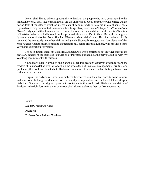Here I shall like to take an opportunity to thank all the people who have contributed to this milestone work. I shall like to thank first of all, the anonymous cooks and bakers who carried out the boring task of repeatedly weighing ingredients of certain foods to help me in establishing basic figures like average amount of flour (and other things alike) used in one "Chapati", a "Pooree" or a "Naan". My special thanks are due to Dr. Imtiaz Hassan, the medical director of Diabetics' Institute of Pakistan, who provided books from his personal library, and Dr. S. Abbas Raza, the young and dynamic endocrinologist from Shaukat Khanum Memorial Cancer Hospital, who critically reviewed the manuscript a number of times and gave indispensable suggestions. I am also grateful to Miss Ayesha Khan the nutritionist and dietician from Doctors Hospital Lahore, who provided some very basic scientific information.

I need to doubly thank my wife Mrs. Shabana Asif who contributed not only her share as the secretary general of the Diabetes Foundation of Pakistan, but had also the nerve to put up with my year long commitment with this task

Chouhdary Niaz Ahmad of the Sange-e-Meel Publications deserves gratitude from the readers of this booklet as well, who took up the whole task of financial arrangements, printing and publishing this book and donated it to Diabetes Foundation of Pakistan for distributing it free of cost to diabetics in Pakistan.

I urge in the end upon all who have diabetes themselves or in their dear ones, to come forward and join us in helping the diabetics to lead healthy, complication free and useful lives despite diabetes. If they have the slightest passion to contribute in this noble task, Diabetes Foundation of Pakistan is the right forum for them, where we shall always welcome them with our open arms.

Yours,

President *Dr.Asif Mahmood Kadri*

Diabetes Foundation of Pakistan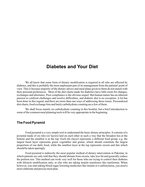## **Diabetes and Your Diet**

We all know that some form of dietary modification is required in all who are affected by diabetes, and this is probably the most unpleasant part of its management from the patients' point of view. This is because majority of the dietary advice and meal plans given to them do not match with their personal preferences. Most of the diet charts made for diabetics have little room for changes, exchanges and alternates. Poor compliance is the obvious sequel. But human nature has an inherent passion to confront challenges and resolve difficulties, and diabetic diet is no exception. A lot has been done in this regard, and there are more than one ways of addressing these issues. Personalized diet charts, food exchange lists and lately carbohydrate counting are a few of them.

We shall focus mainly on carbohydrate counting in this booklet, but a brief introduction to some of the common meal planning tools will be very appropriate in the beginning.

#### **The Food Pyramid**

Food pyramid is a very simple tool to understand the basic dietary principles. It consists of a pyramid made of six tiles (or layers) laid on each other in such a way that the broadest lies at the bottom and the smallest is at the top. Each tile (layer) represents a different food group, e.g. the largest basal layer represents green vegetables and grains, which should constitute the largest proportion of our daily food, while the smallest layer at the top represents sweets and fats which should be taken sparingly.

Food pyramid is indirectly the most popular method of dietary intervention in Pakistan, in which patients are only told that they should abstain from sweets, take less fat and generally reduce the portion size. This method can work very well for those who are trying to control their diabetes with lifestyle modification only, or else who are taking insulin sensitizers like metformin. When however, you start taking blood sugar lowering medicines like insulin or a sulfonylurea, you need a more elaborate and precise meal plan.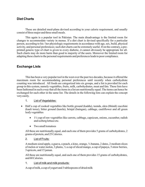#### **Diet Charts**

These are detailed meal-plans devised according to your calorie requirement, and usually consist of three major and three small meals.

This again is a popular tool in Pakistan. The main disadvantage is the limited room for changes to accommodate variety in menus. If a diet chart is devised specifically for a particular person, according to his / her physiologic requirements in accordance with age, sex, build, physical activity, and personal preferences; such diet charts can be extremely useful. If on the contrary, a preprinted generic type of chart is given to every diabetic, it cannot obviously be appropriate for all. Such charts may do more harm than good to majority of the users. Moreover the limited room for adapting these charts to the personal requirements and preferences leads to poor compliance.

#### **Exchange Lists**

This has been a very popular tool in the west over the past two decades, because it offered the maximum room for accommodating personal preferences until recently when carbohydrate counting was introduced. All foods are categorized into six groups, and a list is provided for each group in this system, namely vegetables, fruits, milk, carbohydrates, meat and fats. These lists have been fashioned in such a way that all the items in a list are nutritionally equal. The items can hence be exchanged for each other in the same list. The details in the following lists can explain the concept very easily.

#### 1. List of Vegetables:

- Half a cup of cooked vegetables like bottle ground (kaddu), teenda, okra (bhindi) zucchini (kaali toree), bitter ground (karela), brinjal (baingan), cabbage, cauliflower and all green leafy vegetables
	- $\bullet$  1½ cup of raw vegetables like carrots, cabbage, capsicum, onions, cucumber, radish and iceberg lettuce etc.
	- Two small tomatoes

All these are nutritionally equal, and each one of them provides 5 grams of carbohydrates, 2 grams of protein, and 25 Calories.

#### 2. List of Fruits:

A medium sized apple, a guava, a peach, a kino, orange, ¾ banana, 2 dates, 2 medium slices of melon or water melon, 3 plums, ½ a cup of sliced mango, a cup of papaya, 5 straw berries, 3 apricots, and 15 jaman.

All these are nutritionally equal, and each one of them provides 15 grams of carbohydrates, and 60 Calories.

1. List of milk and milk products:

Acup of milk, a cup of yogurt and 3 tablespoons of dried milk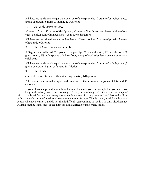All these are nutritionally equal, and each one of them provides 12 grams of carbohydrates, 5 grams of protein, 5 grams of fats and 150 Calories.

#### 1. List of Meat exchanges:

30 grams of meat, 30 grams of fish / prawn, 30 grams of low fat cottage cheese, whites of two eggs, 2 tablespoons of minced meat, ½ cup cooked legumes

All these are nutritionally equal, and each one of them provides, 7 grams of protein, 5 grams of fats and 55 Calories.

#### 2. List of Bread cereal and starch:

A 30 gram slice of bread, ½ cup of cooked porridge, ½ cup boiled rice, 1/3 cup of corn, a 50 gram potato, 2½ table spoons of wheat floor, ½ cup of cooked pulses / beans / grams and chick peas.

All these are nutritionally equal, and each one of them provides 15 grams of carbohydrates, 3 grams of protein, 1 gram of fats and 80 Calories.

#### 3. List of fats:

One table spoon of Ghee, / oil / butter / mayonnaise, 8-10 pea-nuts,

All these are nutritionally equal, and each one of them provides 5 grams of fats, and 45 Calories.

If your physician provides you these lists and then tells you for example that you shall take too exchanges of carbohydrates, one exchange of meat, one exchange of fruit and one exchange of milk in the breakfast, you can enjoy a reasonable degree of variety in your breakfast and still be within the safe limits of nutritional recommendations for you. This is a very useful method and people who have learnt it, and do not find it difficult, can continue to use it. The only disadvantage with this method is that most of the diabetics find it difficult to master and follow.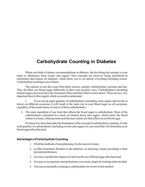## **Carbohydrate Counting in Diabetes**

When you think of dietary recommendations in diabetes, the first thing that springs to your mind is, abstinence from sweets and sugars! New concepts are however being introduced in nutritional intervention for diabetes, which allow you to eat almost everything including sweets. Carbohydrate counting is one of them.

The calories in our diet come from three sources, namely carbohydrates, proteins and fats. They all affect our blood sugar differently in their own peculiar ways. Carbohydrates (including natural sugars) however have the maximum effect and their effect is more direct. There are two very important facts in this regard, which we need to understand.

1. If you eat an equal quantity of carbohydrates (including some sugars and sweets at times) on different occasions, it will result in the same rise in your blood sugar on all occasions, regardless of the actual nature or source of these carbohydrates.

2. The main ingredient of our food that affects the blood sugar is carbohydrate. Most of the carbohydrates consumed in a meal, are broken down into sugars, which enters the blood within two hours, while proteins and fats have relatively little effect on our blood sugar.

It is these two facts that make the foundation of the concept of carbohydrate counting. It is the total quantity of carbohydrates (including sweets and sugars) in your meal that will determine your blood sugar after that meal.

#### **Advantages of Carbohydrate Counting**

- 1. Of all the methods of meal planning, it is the easiest to learn.
- 2. It offers maximum freedom to the diabetics, in choosing a menu according to their personal preferences
- 3. It is easy to predict the impact of a meal on the rise of blood sugar after that meal
- 4. It is easy to incorporate canned food into your meal, simply by looking at the tin label
- 5. You can occasionally exchange a carbohydrate for sweets in this method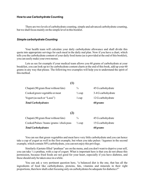#### **How to use Carbohydrate Counting**

There are two levels of carbohydrate counting, simple and advanced carbohydrate counting, but we shall focus mainly on the simple level in this booklet.

#### *Simple carbohydrate Counting*

Your health team will calculate your daily carbohydrate allowance and shall divide this quota into appropriate servings for each meal in the daily mal plan. Now if you have a chart, which tells you the carbohydrate content of your daily food items (as is provided at the end of this booklet), you can easily make your own menus.

Lets us see for example if your medical team allows you 60 grams of carbohydrate at your breakfast, you can look up in t he carbohydrate content charts at the end of this book, add up your 60 grams in any way that please. The following two examples will help you to understand the spirit of this method.

| $\frac{3}{4}$     | 45 G carbohydrate  |
|-------------------|--------------------|
| $\frac{1}{2}$ cup | 3-4 G carbohydrate |
| $1 \text{ cup}$   | 12 G carbohydrate  |
|                   | 60 grams           |
|                   |                    |
| $\frac{3}{4}$     | 45 G carbohydrate  |
| $\frac{1}{2}$ cup | 15 G carbohydrate  |
|                   | 60 grams           |
|                   | $\bf(1)$<br>(2)    |

You can see that green vegetables and meat have very little carbohydrate and you can hence take a cup of yogurt as well in the first example, but when you take pulses / legumes in the second example, which contain 50% carbohydrate, you can not enjoy this privilege.

Similarly if potato filled "prathaas" are on the menu, and you don't want to deprive your self, you can take ½ a prathaa, with a cup of yogurt. What is important here is that you do not abuse this permission, because fried foods are not good for your heart, especially if you have diabetes, and these should only be taken once in a while.

You can ask a very pertinent question here, "a balanced diet is the one, that has all the ingredients of food like carbohydrates, proteins, fats, vitamins and minerals in their right proportions, then how shall a diet focusing only on carbohydrates be adequate for diabetics?"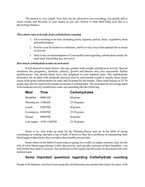The answer is very simple. Now that you are allowed to eat everything, you should add as much variety and diversity to your menus as you can. Variety is what shall bring your diet to a physiologic balance.

#### *Three basic rules to benefit from carbohydrate counting*

- 1. Eat everything in its turn, including grains, legumes, pulses, fruits, vegetables, meat and milk products.
- 2. Restrict your fat intake to a minimum, and try to stay away from animal fats as much as you can.
- 3. Stick to the recommendations of your health team regarding carbohydrate intake for each meal. Eat neither less, nor more!

#### *How much carbohydrate to take on each meal*

It will depend on many factors, like age, gender, body weight, and physical activity. Special situations like pregnancy, lactation, puberty, growth and disease may also necessitate further modifications. You should hence leave this judgment to your medical team. The carbohydrate allowance for an adult with moderate physical activity and normal weight is usually three major meals of 60 gram carbohydrates for male and 50 grams for the female. Three small snacks of 25-30 grams may also be required for people on insulin or sulfonylurea. The meal plan for an average adult with moderate activity would hence come out something like the following

| <b>Meal</b>         | <b>Time</b>                | <b>Carbohydrates</b> |
|---------------------|----------------------------|----------------------|
| <b>Breakfast</b>    | 0800 AM                    | 60 grams             |
| Morning tea 1100AM  |                            | $25-30$ grams        |
| Lunch               | 0200 PM                    | 60 grams             |
| Evening tea 0500 PM |                            | $25-30$ grams        |
| Dinner              | 0800 PM                    | 60 grams             |
|                     | Late supper $1030-1100$ PM | $25-30$ grams        |

Some of us, who wake up early for the Morning-Prayer and are in the habit of eating something on waking, can take a cup of milk. If however they have problems in maintaining their blood sugar within limits, they can talk to their health care provider.

Some others in the habit of exercising (or going for a walk) on empty stomach, may run the risk of a low blood sugar during or after this activity, and can take a portion of their breakfast ½ an hour before they plan to exercise. Any problems in this regard can obviously be discussed with your medical team.

#### **Some important questions regarding Carbohydrate counting**

People with diabetes, who have been using the old fashioned, pre-printed diet charts for years, with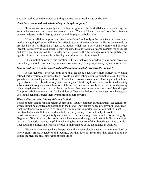The new method of carbohydrate counting. Lets try to address them up one by one.

#### *Can I have sweets within the limits of my carbohydrate quota?*

Since we are counting only the carbohydrate grams in the food, all diabetics may be eager to know whether they can have some sweets as well. They will be anxious to know the difference between a dessert and a fruit (e.g. guava) containing equal carbohydrate.

If we put all the complex controversies aside and look only at the basic facts, a sweet (e.g. a laddoo) weighing 60 grams will roughly offer 45 grams of carbohydrates, while the same would be provided by half a kilogram of guava. A laddoo which has a very small volume and is hence incapable of satisfying your appetite, may consume the entire quota of carbohydrates for one meal, and leave you hungry, while ½ a kilogram of guava will offer enough volume to gratify your appetite. Fruits offer certain other advantages in addition to volume as well.

The simplest answer to this question is hence that you can certainly take some sweets at times, but you should mix them in your menus very tactfully, using simple everyday common sense.

#### *Is there no difference between refined and the complex carbohydrates in this system?*

It was generally believed until 1995 that the blood sugar rises more rapidly after eating refined carbohydrates and sugars than it would do after eating complex carbohydrates like whole grain foods, pulses, legumes, and fruits etc; and that it is easier to maintain blood sugar within limits if you abstain from refined carbohydrates and sugars. The theory however has not been adequately substantiated through research. Majority of the medical scientists now believe that the total quantity of carbohydrates in your meal is the main factor that determines your post meal blood sugar. Complex carbohydrates and raw food with lots of fiber have their own advantages nonetheless, and you should generally prefer them over the refined carbohydrates.

#### *What is fiber and what is its significance in diet?*

Foods of plant origin contain certain compounds (usually complex carbohydrates like cellulose), which cannot be digested and absorbed in the blood. They cannot hence affect your blood sugar. Such substances are referred to as "fiber". Fiber is a very important part of our diet. It is not nutritive but adds bulk to our food and helps in early satiety. This bulk helps to control constipation as well. It is generally recommended that an average man should consume roughly 50 grams of fiber in a day. Research studies have repeatedly suggested that high fiber content in the diet of diabetics may be helpful in achieving better control of their blood sugar. The soluble fiber found in oatmeal and fruits is helpful in maintenance of the fat balance in addition.

We can easily conclude here that people with diabetes should depend more for their food on whole grains, fruits, vegetables and legumes, but that does not mean that they should be totally denied the pleasure of all other eating possibilities.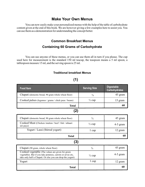#### **Make Your Own Menus**

You can now easily make your personalized menus with the help of the table of carbohydrate content given at the end of this book. We are however giving a few examples here to assist you. You can use them as a demonstration for understanding the concept better.

#### **Common Breakfast Menus**

#### **Containing 60 Grams of Carbohydrate**

You can use anyone of these menus, or you can use them all in turn if you please. The cup used here for measurement is the standard 150 ml teacup, the teaspoon means a 5 ml spoon, a tablespoon measure 15 ml, and the serving spoon is 25 ml.

#### **Traditional breakfast Menus**

## **(1)**

| <b>Food Item</b>                                                                                                                                                              | <b>Serving Size</b> | <b>Digestable</b><br><b>Carbohydrates</b> |
|-------------------------------------------------------------------------------------------------------------------------------------------------------------------------------|---------------------|-------------------------------------------|
| Chapati (domestic bread, 90 gram whole wheat floor)                                                                                                                           | $\frac{3}{4}$       | 45 gram                                   |
| Cooked pulses (legumes / grams / chick peas / beans)                                                                                                                          | $\frac{1}{2}$ cup   | 15 gram                                   |
| <b>Total</b>                                                                                                                                                                  |                     | 60                                        |
| (2)                                                                                                                                                                           |                     |                                           |
| Chapati (domestic bread, 90 gram whole wheat floor)                                                                                                                           | $\frac{3}{4}$       | 45 gram                                   |
| Cooked Meat (Chicken/mutton/beef/fish/nihaari<br>siri paye)                                                                                                                   | $\frac{1}{2}$ cup   | $4-5$ gram                                |
| Yogurt / Lassi (Stirred yogurt)                                                                                                                                               | $1 \text{ cup}$     | 12 gram                                   |
| <b>Total</b>                                                                                                                                                                  |                     | 60                                        |
| (3)                                                                                                                                                                           |                     |                                           |
| Chapati (90 gram, whole wheat floor)                                                                                                                                          | $\frac{3}{4}$       | 45 gram                                   |
| Cooked vegetable (The values are given for green<br>vegetables. But if you take potatoes, carrots or arvee etc,<br>take only half a Chapati. Or else you can drop the yogurt) | $\frac{1}{2}$ cup   | $4-5$ gram                                |
| Yogurt                                                                                                                                                                        | $1 \text{ cup}$     | 12 gram                                   |
| <b>Total</b>                                                                                                                                                                  |                     | 60                                        |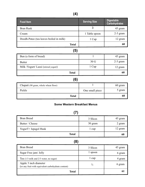| <b>Food Item</b>                        | <b>Serving Size</b> | <b>Digestable</b><br><b>Carbohydrates</b> |
|-----------------------------------------|---------------------|-------------------------------------------|
| <b>Bran Rusk</b>                        | 3                   | 45 gram                                   |
| Cream                                   | 1 Table spoon       | $2-3$ gram                                |
| Doodh-Patee (tea leaves boiled in milk) | 1 Cup               | 12 gram                                   |
| <b>Total</b>                            |                     | 60                                        |
| (5)                                     |                     |                                           |
| Bun (a form of bread)                   | $\mathbf{1}$        | 45 gram                                   |
| <b>Butter</b>                           | 30 <sub>G</sub>     | $2-3$ gram                                |
| Milk /Yogurt/ Lassi (stirred yogurt)    | 1 Cup               | 12 gram                                   |
| <b>Total</b>                            |                     | 60                                        |
| (6)                                     |                     |                                           |
| Chapati (90 gram, whole wheat floor)    |                     | 60 gram                                   |
| Pickle                                  | One small piece     | 5 gram                                    |
| <b>Total</b>                            |                     | 60                                        |

#### **Some Western Breakfast Menus**

| <b>Bran Bread</b>    | 3 Slices | 45 gram |
|----------------------|----------|---------|
| Butter / Cheese      | 30 gram  | 2 gram  |
| YogurT+ Ispagol Husk | 1 cup    | 12 gram |
| <b>Total</b>         |          | 60      |

**(8)**

| <b>Bran Bread</b>                                                            | 3 Slices      | 45 gram |
|------------------------------------------------------------------------------|---------------|---------|
| Sugar Free jam/ Jelly                                                        | l spoon       | 6 gram  |
| Tea $(1/3$ milk and $2/3$ water, no sugar)                                   | 1 cup         | 4 gram  |
| Apple 3 inch diameter<br>(or any fruit with equivalent carbohydrate content) | $\frac{1}{2}$ | 6 gram  |
| Total                                                                        |               |         |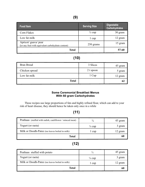| <b>Food Item</b>                                                            | <b>Serving Size</b> | <b>Digestable</b><br><b>Carbohydrates</b> |
|-----------------------------------------------------------------------------|---------------------|-------------------------------------------|
| Corn Flakes                                                                 | $\frac{1}{2}$ cup   | 30 gram                                   |
| Low fat milk                                                                | l cup               | 12 gram                                   |
| Apricot/ guava/ pear<br>(or any fruit with equivalent carbohydrate content) | 250 grams           | 15 gram                                   |
| <b>Total</b>                                                                |                     | $57 - 60$                                 |

## **(10)**

| Bran Bread     | 3 Slices  | 45 gram |
|----------------|-----------|---------|
| Chicken spread | 2 t spoon | 5 gram  |
| Low fat milk   | 1 Cup     | 12 gram |
| <b>Total</b>   |           | 62      |

#### **Some Ceremonial Breakfast Menus With 60 gram Carbohydrates**

These recipes use large proportions of fats and highly refined flour, which can add to your risk of heart disease, they should hence be taken only once in a while

## **(11)**

| Prathaas (stuffed with radish, cauliflower / minced meat) | $\frac{3}{4}$     | 45 gram |
|-----------------------------------------------------------|-------------------|---------|
| Yogurt (or raeta)                                         | $\frac{1}{4}$ cup | 3 gram  |
| Milk or Doodh-Patee (tea leaves boiled in milk)           | 1 cup             | 12 gram |
| <b>Total</b>                                              |                   | 60      |

## **(12)**

| Prathaas stuffed with potato                    | $\frac{1}{2}$     | 45 gram |
|-------------------------------------------------|-------------------|---------|
| Yogurt (or raeta)                               | $\frac{1}{4}$ cup | 3 gram  |
| Milk or Doodh-Patee (tea leaves boiled in milk) | 1 cup             | 12 gram |
| Total                                           |                   |         |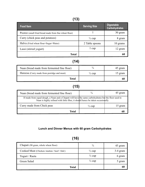## **(13)**

| <b>Food Item</b>                                      | <b>Serving Size</b> | <b>Digestable</b><br><b>Carbohydrates</b> |
|-------------------------------------------------------|---------------------|-------------------------------------------|
| Pooree (small fried bread made from fine wheat flour) |                     | 30 gram                                   |
| Curry (chick peas and potatoes)                       | $\frac{1}{2}$ cup   | 8 gram                                    |
| Halva (Fried wheat flour+Sugar+Water)                 | 2 Table spoons      | 10 grams                                  |
| Lassi (stirred yogurt)                                | 1 cup               | 12 gram                                   |
| Total                                                 |                     | 61                                        |

## **(14)**

| Naan (bread made from fermented fine flour) |                   | 45 gram |
|---------------------------------------------|-------------------|---------|
| Hareesa (Curry made from porridge and meat) | $\frac{1}{2}$ cup | 15 gram |
| Total                                       |                   | 60      |

## **(15)**

| Naan (bread made from fermented fine flour)                                                                                                                                              | $\frac{3}{4}$     | 45 gram |
|------------------------------------------------------------------------------------------------------------------------------------------------------------------------------------------|-------------------|---------|
| If made from equal dough, a Naan and a Chapati will have the same carbohydrates but the floor used in<br>Naan is highly refined with little fiber, it should hence be taken occasionally |                   |         |
| Curry made from Chick peas                                                                                                                                                               | $\frac{1}{2}$ cup | 15 gram |
| Total                                                                                                                                                                                    |                   | 60      |

## **Lunch and Dinner Menus with 60 gram Carbohydrates**

## **(16)**

| Green Salad                                  | $\frac{1}{2}$ cup | 5 gram   |
|----------------------------------------------|-------------------|----------|
| Yogurt / Raeta                               | $\frac{1}{2}$ cup | 6 gram   |
| Cooked Meat (Chicken /mutton / beef / fish/) | $\frac{1}{2}$ cup | 3-4 gram |
| Chapati (90 gram, whole wheat floor)         | $\frac{3}{4}$     | 45 gram  |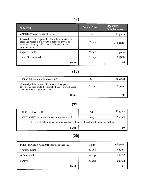## **(17)**

| <b>Food Item</b>                                                                                                                                                                       | <b>Serving Size</b> | <b>Digestable</b><br><b>Carbohydrates</b> |
|----------------------------------------------------------------------------------------------------------------------------------------------------------------------------------------|---------------------|-------------------------------------------|
| Chapati (90 gram, whole wheat floor)                                                                                                                                                   | $\frac{3}{4}$       | 45 gram                                   |
| Cooked Green vegetable (The values are given for<br>green vegetables. But if you take potatoes, carrots or<br>arvee etc, take only half a Chapati. Or else you can<br>drop the yogurt) | $\frac{1}{2}$ cup   | $3-4$ gram                                |
| Yogurt / Raeta                                                                                                                                                                         | $\frac{1}{2}$ cup   | 6 gram                                    |
| Fresh Green Salad                                                                                                                                                                      | $\frac{1}{2}$ cup   | 5 gram                                    |
| <b>Total</b>                                                                                                                                                                           |                     | 60                                        |

## **(18)**

| Chapati (90 gram, whole wheat floor)                                                                                                          |                   | 45 gram |
|-----------------------------------------------------------------------------------------------------------------------------------------------|-------------------|---------|
| Cooked potatoes /carrots/ arvee / turnips<br>They have a high content of carbohydrates / you will hence<br>have to drop the yogurt and salad) | $\frac{1}{2}$ cup | 5 gram  |
| Total                                                                                                                                         |                   |         |

## **(19)**

| Boiled (or fried) Rice                                                                     | 1 cup             | 45 gram |
|--------------------------------------------------------------------------------------------|-------------------|---------|
| Cooked pulses (legumes/ grams / chick peas / beans)                                        | $\frac{1}{2}$ cup | 15 gram |
| If you wish to take some yogurt or salad as well, you will need to cut on the rice portion |                   |         |
| <b>Total</b>                                                                               |                   | 60      |

## **(20)**

| Pulao, Biryani or Khichri ((forms of fried rice) | $1 \text{ cup}$   | 45 gram |
|--------------------------------------------------|-------------------|---------|
| Yogurt / Raeta                                   | $\frac{1}{2}$ cup | 6 gram  |
| Green Salad                                      | $\frac{1}{2}$ cup | 5 gram  |
| Papaya                                           | $\frac{1}{2}$ cup | 5 gram  |
| <b>Total</b>                                     |                   |         |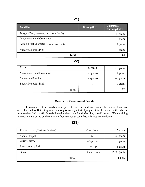| <b>Food Item</b>                            | <b>Serving Size</b> | <b>Digestable</b><br><b>Carbohydrates</b> |
|---------------------------------------------|---------------------|-------------------------------------------|
| Burger (Bun, one egg and one kabaab)        |                     | 40 gram                                   |
| Mayonnaise and Cole-slaw                    |                     | $10 \text{ gram}$                         |
| Apple 3 inch diameter (or equivalent fruit) |                     | 12 gram                                   |
| Sugar-free cold-drink                       |                     | 0 gram                                    |
| Total                                       |                     | 61                                        |

**(22)**

| Pizza                    | $\frac{1}{2}$ piece | 45 gram  |
|--------------------------|---------------------|----------|
| Mayonnaise and Cole-slaw | 2 spoons            | 10 gram  |
| Sauces and ketchup       | 2 spoons            | 5-8 gram |
| Sugar-free cold-drink    |                     | 0 gram   |
| <b>Total</b>             |                     | 62       |

#### **Menus for Ceremonial Feasts**

Ceremonies of all kinds are a part of our life, and we can neither avoid them nor we really need to. But eating at a ceremony is usually a test of judgment for the people with diabetes, because they find it difficult to decide what they should and what they should not eat. We are giving here two menus based on the common foods served at such feasts for you convenience.

## **(23)**

| Roasted meat (Chicken / fish/beef) | One piece         | 5 gram       |
|------------------------------------|-------------------|--------------|
| Naan / Chapati                     | $\frac{1}{2}$     | 30 gram      |
| Curry / $gravy$                    | 2-3 pieces        | 5 gram       |
| Fresh green salad                  | $\frac{1}{2}$ cup | 5 gram       |
| Dessert                            | 5 tea spoons      | $15-20$ gram |
| <b>Total</b>                       |                   | 60-65        |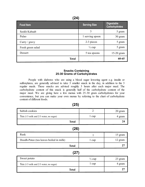|--|

| <b>Food Item</b>  | <b>Serving Size</b> | <b>Digestable</b><br><b>Carbohydrates</b> |
|-------------------|---------------------|-------------------------------------------|
| Seekh Kabaab      | 3                   | 5 gram                                    |
| Pulao             | 1 serving spoon     | 30 gram                                   |
| Curry / gravy     | 2-3 pieces          | 5 gram                                    |
| Fresh green salad | $\frac{1}{2}$ cup   | 5 gram                                    |
| Dessert           | 5 tea spoons        | $15-20$ gram                              |
| <b>Total</b>      |                     | 60-65                                     |

#### **Snacks Containing 25-30 Grams of Carbohydrates**

People with diabetes who are using a blood sugar lowering agent e.g. insulin or sulfonylurea, are generally advised to take 3 smaller snack in the day, in addition to the 3 regular meals. These snacks are advised roughly 3 hours after each major meal. The carbohydrate content of this snack is generally half of the carbohydrate content of the major meal. We are giving here a few menus with 25-30 gram carbohydrates for your convenience, but you can make your own menus by referring to the chart of carbohydrate content of different foods.

| Saltish cookies                        |       | 20 gram |
|----------------------------------------|-------|---------|
| Tea (1/3 milk and 2/3 water, no sugar) | l cup | 4 gram  |
| <b>Total</b>                           |       | 24      |
| (26)                                   |       |         |

| (26)                                    |       |         |
|-----------------------------------------|-------|---------|
| Rusk                                    |       | 15 gram |
| Doodh-Patee (tea leaves boiled in milk) | l cup | 12 gram |
| <b>Total</b>                            |       | 27      |
| ノクフヽ                                    |       |         |

#### **(27)**

| Sweet potato                               | $\frac{1}{2}$ cup | 23 gram |
|--------------------------------------------|-------------------|---------|
| Tea $(1/3$ milk and $2/3$ water, no sugar) | l cup             | 4 gram  |
| <b>Total</b>                               |                   |         |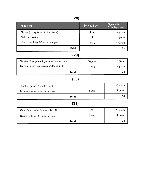| <b>Food Item</b>                               | <b>Serving Size</b> | <b>Digestable</b><br><b>Carbohydrates</b> |
|------------------------------------------------|---------------------|-------------------------------------------|
| Guava (or equivalent other fruit)              | $1 \text{ cup}$     | 14 gram                                   |
| Saltish cookies                                | 1                   | 10 gram                                   |
| Tea (1/3 milk and 2/3 water, no sugar)         | $1 \text{ cup}$     | 4 Gram                                    |
| <b>Total</b>                                   |                     | 28                                        |
| (29)                                           |                     |                                           |
| Nimko (Fried pulses, legumes and pea nuts etc) | 30 gram             | 12 gram                                   |
| Doodh-Patee (tea leaves boiled in milk)        | $1 \text{ cup}$     | 12 gram                                   |
| <b>Total</b>                                   |                     | 24                                        |
| (30)                                           |                     |                                           |
| Chicken patties / chicken roll                 | 1                   | 20 gram                                   |
| Tea $(1/3$ milk and $2/3$ water, no sugar)     | $1 \text{ cup}$     | 4 gram                                    |
| <b>Total</b>                                   |                     | 24                                        |
| (31)                                           |                     |                                           |
| Vegetable patties / vegetable roll             | $\frac{1}{2}$       | 20 gram                                   |
| Tea (1/3 milk and 2/3 water, no sugar)         | $1 \text{ cup}$     | 4 gram                                    |
| <b>Total</b>                                   |                     | 24                                        |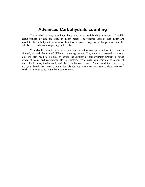#### **Advanced Carbohydrate counting**

This method is very useful for those who take multiple daily injections of rapidly acting insulins, or else are using an insulin pump. The required units of their insulin are linked to the carbohydrate content of their food in such a way that a change in one can be calculated to find a matching change in the other.

You should learn to understand and use the information provided on the canisters of food, as well the use of different measuring devices like, cups and measuring spoons. You will also need to be able to assess the quantity of carbohydrates present in foods served at feasts and restaurants. Having mastered these skills, you maintain the record of your blood sugar, insulin used, and the carbohydrate count of your food for some time, and your health team works out a formula for you which you can use to determine your insulin dose required to neutralize a specific meal.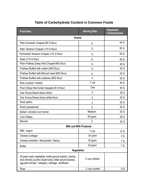| <b>Food Item</b>                                                                                                                                                                   | <b>Serving Size</b>           | <b>Digestable</b><br><b>Carbohydrates</b> |
|------------------------------------------------------------------------------------------------------------------------------------------------------------------------------------|-------------------------------|-------------------------------------------|
| <b>Grains</b>                                                                                                                                                                      |                               |                                           |
| Plain Domestic Chapati (90 G flour)                                                                                                                                                | $\frac{3}{4}$                 | 45 G                                      |
| Plain Tandoori Chapati (110 G flour)                                                                                                                                               | $\frac{3}{4}$                 | 55 G                                      |
| Fermented Tandoori Chapati (110 G flour)                                                                                                                                           | $\frac{3}{4}$                 | 55 G                                      |
| Naan (110 G flour)                                                                                                                                                                 | $\frac{3}{4}$                 | 55 G                                      |
| Plain Prathaa (Deep fried Chapati-90G flour)                                                                                                                                       | $\frac{3}{4}$                 | 45 G                                      |
| Prathaa Stuffed with radish (90G flour)                                                                                                                                            | $\frac{3}{4}$                 | 45 G                                      |
| Prathaa Stuffed with Minced meat (90G flour)                                                                                                                                       | $\frac{3}{4}$                 | 45 G                                      |
| Prathaa Stuffed with potatoes (90G flour)                                                                                                                                          | $\frac{1}{2}$                 | 55 G                                      |
| Rice (cooked / boiled)                                                                                                                                                             | 1 cup                         | 45 G                                      |
| Poori (Deep fried small chapaati-45 G flour)                                                                                                                                       | One                           | 30 G                                      |
| One Ounce Bread slices (bran)                                                                                                                                                      | $\overline{2}$                | 30 G                                      |
| One Ounce Bread slices (white flour)                                                                                                                                               | $\overline{2}$                | 30 G                                      |
| Rusk (plain)                                                                                                                                                                       | $\overline{2}$                | 30 G                                      |
| Rusk (sweetened)                                                                                                                                                                   | $\overline{2}$                | 35 G                                      |
| Boiled / smoked corn kernel                                                                                                                                                        | Medium                        | 30 G                                      |
| <b>Corn Flakes</b>                                                                                                                                                                 | 60 gram                       | 50 G                                      |
| <b>Biscuits</b>                                                                                                                                                                    | $\overline{2}$                | 20G                                       |
|                                                                                                                                                                                    | <b>Milk and Milk Products</b> |                                           |
| Milk / yogurt                                                                                                                                                                      | 1 cup                         | 12 G                                      |
| Cheese (cottage)                                                                                                                                                                   | 30 gram                       | 3G                                        |
| Cheese (cheddar / Mozzarella / Swiss)                                                                                                                                              | 30 gram                       | 1 <sub>G</sub>                            |
| <b>Butter</b>                                                                                                                                                                      | 30 gram                       | 1 <sub>G</sub>                            |
| <b>Vegetables</b>                                                                                                                                                                  |                               |                                           |
| All green leafy vegetables, bottle ground (kaddu), teenda,<br>okra (bhindi) zucchini (kaali toree), bitter ground (karela),<br>egg plant (brinjal / baingan), cabbage, cauliflower | $\frac{1}{2}$ cup cooked      |                                           |
| Peas                                                                                                                                                                               | $\frac{1}{2}$ cup cooked      | 5G                                        |

## **Table of Carbohydrate Content in Common Foods**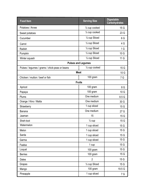| <b>Food Item</b>                               | <b>Serving Size</b>        | <b>Digestable</b><br><b>Carbohydrates</b> |
|------------------------------------------------|----------------------------|-------------------------------------------|
| Potatoes / Arvee                               | $\frac{1}{2}$ cup cooked   | 15 G                                      |
| Sweet potatoes                                 | 1/2 cup cooked             | 23 G                                      |
| Cucumber                                       | 1/ <sub>2</sub> cup Sliced | 6 G                                       |
| Carrot                                         | 1/ <sub>2</sub> cup Sliced | 4 G                                       |
| Radish                                         | 1/ <sub>2</sub> cup Sliced | 1 <sub>G</sub>                            |
| Pumpkin                                        | 1/ <sub>2</sub> cup Sliced | 10 G                                      |
| Winter squash                                  | 1/ <sub>2</sub> cup Sliced | 11 G                                      |
| <b>Pulses and Legumes</b>                      |                            |                                           |
| Pulses / legumes / grams / chick-peas or beans | $\frac{1}{2}$ cup cooked   | 15 G                                      |
| <b>Meat</b>                                    |                            | 10 G                                      |
| Chicken / mutton / beef or fish                | 100 gram                   | 7 G                                       |
| <b>Fruits</b>                                  |                            |                                           |
| Apricot                                        | 100 gram                   | 8 G                                       |
| Papaya                                         | 100 gram                   | 10 G                                      |
| Plums                                          | One medium                 | 8.5 G                                     |
| Orange / Kino / Malta                          | One medium                 | 30 G                                      |
| Strawberry                                     | 1 cup sliced               | 15 G                                      |
| <b>Banana</b>                                  | One medium                 | 27 G                                      |
| Jaaman                                         | 15                         | 15 G                                      |
| Sheh-toot                                      | $\frac{1}{2}$ cup          | 15 <sub>G</sub>                           |
| Watermelon                                     | 1 cup sliced               | 15 G                                      |
| Melon                                          | 1 cup sliced               | 15 G                                      |
| Sarda                                          | 1 cup sliced               | 15 G                                      |
| Garma                                          | 1 cup sliced               | 15 G                                      |
| Faalsa                                         | 1 cup                      | 15 G                                      |
| Loquat                                         | 100 gram                   | 15 G                                      |
| <b>Berries</b>                                 | 100 gram                   | 15 G                                      |
| <b>Dates</b>                                   | $\overline{2}$             | 15 G                                      |
| Grapes                                         | 1/ <sub>2</sub> cup Sliced | 15 G                                      |
| Mango                                          | 100 gram                   | 19.5 G                                    |
| Pineapple                                      | 1 cup sliced               | 7 G                                       |